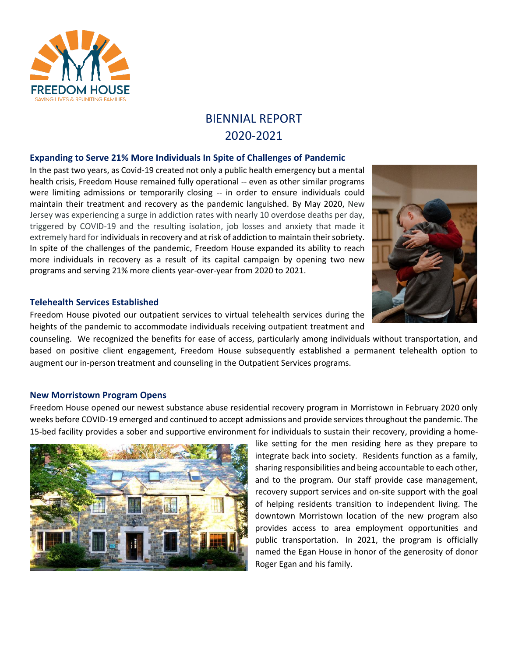

# BIENNIAL REPORT 2020-2021

# **Expanding to Serve 21% More Individuals In Spite of Challenges of Pandemic**

In the past two years, as Covid-19 created not only a public health emergency but a mental health crisis, Freedom House remained fully operational -- even as other similar programs were limiting admissions or temporarily closing -- in order to ensure individuals could maintain their treatment and recovery as the pandemic languished. By May 2020, New Jersey was experiencing a surge in addiction rates with nearly 10 overdose deaths per day, triggered by COVID-19 and the resulting isolation, job losses and anxiety that made it extremely hard for individuals in recovery and at risk of addiction to maintain their sobriety. In spite of the challenges of the pandemic, Freedom House expanded its ability to reach more individuals in recovery as a result of its capital campaign by opening two new programs and serving 21% more clients year-over-year from 2020 to 2021.

## **Telehealth Services Established**

Freedom House pivoted our outpatient services to virtual telehealth services during the heights of the pandemic to accommodate individuals receiving outpatient treatment and

counseling. We recognized the benefits for ease of access, particularly among individuals without transportation, and based on positive client engagement, Freedom House subsequently established a permanent telehealth option to augment our in-person treatment and counseling in the Outpatient Services programs.

# **New Morristown Program Opens**

Freedom House opened our newest substance abuse residential recovery program in Morristown in February 2020 only weeks before COVID-19 emerged and continued to accept admissions and provide services throughout the pandemic. The 15-bed facility provides a sober and supportive environment for individuals to sustain their recovery, providing a home-



like setting for the men residing here as they prepare to integrate back into society. Residents function as a family, sharing responsibilities and being accountable to each other, and to the program. Our staff provide case management, recovery support services and on-site support with the goal of helping residents transition to independent living. The downtown Morristown location of the new program also provides access to area employment opportunities and public transportation. In 2021, the program is officially named the Egan House in honor of the generosity of donor Roger Egan and his family.